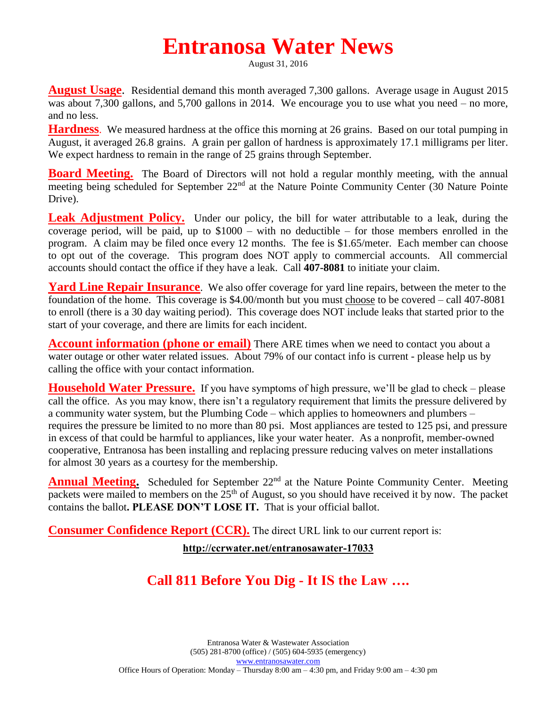## **Entranosa Water News**

August 31, 2016

**August Usage**. Residential demand this month averaged 7,300 gallons. Average usage in August 2015 was about 7,300 gallons, and 5,700 gallons in 2014. We encourage you to use what you need – no more, and no less.

**Hardness**. We measured hardness at the office this morning at 26 grains. Based on our total pumping in August, it averaged 26.8 grains. A grain per gallon of hardness is approximately 17.1 milligrams per liter. We expect hardness to remain in the range of 25 grains through September.

**Board Meeting.** The Board of Directors will not hold a regular monthly meeting, with the annual meeting being scheduled for September 22<sup>nd</sup> at the Nature Pointe Community Center (30 Nature Pointe Drive).

Leak Adjustment Policy. Under our policy, the bill for water attributable to a leak, during the coverage period, will be paid, up to \$1000 – with no deductible – for those members enrolled in the program. A claim may be filed once every 12 months. The fee is \$1.65/meter. Each member can choose to opt out of the coverage. This program does NOT apply to commercial accounts. All commercial accounts should contact the office if they have a leak. Call **407-8081** to initiate your claim.

**Yard Line Repair Insurance**. We also offer coverage for yard line repairs, between the meter to the foundation of the home. This coverage is \$4.00/month but you must choose to be covered – call 407-8081 to enroll (there is a 30 day waiting period). This coverage does NOT include leaks that started prior to the start of your coverage, and there are limits for each incident.

**Account information (phone or email)** There ARE times when we need to contact you about a water outage or other water related issues. About 79% of our contact info is current - please help us by calling the office with your contact information.

**Household Water Pressure.** If you have symptoms of high pressure, we'll be glad to check – please call the office. As you may know, there isn't a regulatory requirement that limits the pressure delivered by a community water system, but the Plumbing Code – which applies to homeowners and plumbers – requires the pressure be limited to no more than 80 psi. Most appliances are tested to 125 psi, and pressure in excess of that could be harmful to appliances, like your water heater. As a nonprofit, member-owned cooperative, Entranosa has been installing and replacing pressure reducing valves on meter installations for almost 30 years as a courtesy for the membership.

**Annual Meeting.** Scheduled for September 22<sup>nd</sup> at the Nature Pointe Community Center. Meeting packets were mailed to members on the 25<sup>th</sup> of August, so you should have received it by now. The packet contains the ballot**. PLEASE DON'T LOSE IT.** That is your official ballot.

**Consumer Confidence Report (CCR).** The direct URL link to our current report is:

**<http://ccrwater.net/entranosawater-17033>**

## **Call 811 Before You Dig - It IS the Law ….**